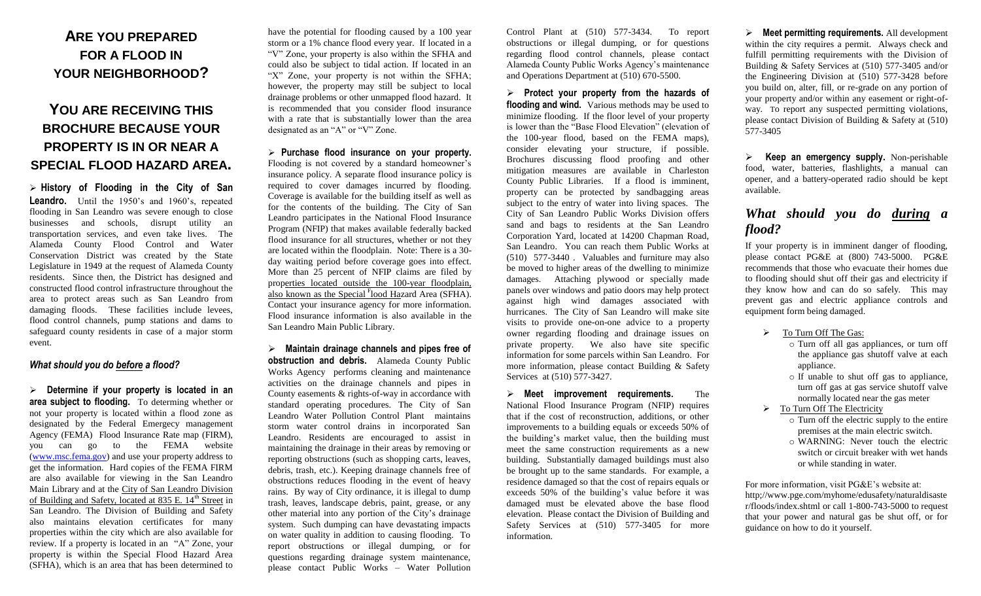# **ARE YOU PREPARED FOR A FLOOD IN YOUR NEIGHBORHOOD?**

## **YOU ARE RECEIVING THIS BROCHURE BECAUSE YOUR PROPERTY IS IN OR NEAR A SPECIAL FLOOD HAZARD AREA.**

 **History of Flooding in the City of San Leandro.** Until the 1950's and 1960's, repeated flooding in San Leandro was severe enough to close businesses and schools, disrupt utility an transportation services, and even take lives. The Alameda County Flood Control and Water Conservation District was created by the State Legislature in 1949 at the request of Alameda County residents. Since then, the District has designed and constructed flood control infrastructure throughout the area to protect areas such as San Leandro from damaging floods. These facilities include levees, flood control channels, pump stations and dams to safeguard county residents in case of a major storm event.

#### *What should you do before a flood?*

 **Determine if your prop***e***rty is located in an area subject to flooding.** To determing whether or not your property is located within a flood zone as designated by the Federal Emergecy management Agency (FEMA) Flood Insurance Rate map (FIRM), you can go to the FEMA website [\(www.msc.fema.gov\)](http://www.msc.fema.gov/) and use your property address to get the information. Hard copies of the FEMA FIRM are also available for viewing in the San Leandro Main Library and at the City of San Leandro Division of Building and Safety, located at 835 E. 14<sup>th</sup> Street in San Leandro. The Division of Building and Safety also maintains elevation certificates for many properties within the city which are also available for review. If a property is located in an "A" Zone, your property is within the Special Flood Hazard Area (SFHA), which is an area that has been determined to

have the potential for flooding caused by a 100 year storm or a 1% chance flood every year. If located in a "V" Zone, your property is also within the SFHA and could also be subject to tidal action. If located in an "X" Zone, your property is not within the SFHA; however, the property may still be subject to local drainage problems or other unmapped flood hazard. It is recommended that you consider flood insurance with a rate that is substantially lower than the area designated as an "A" or "V" Zone.

 **Purchase flood insurance on your property.** Flooding is not covered by a standard homeowner's insurance policy. A separate flood insurance policy is required to cover damages incurred by flooding. Coverage is available for the building itself as well as for the contents of the building. The City of San Leandro participates in the National Flood Insurance Program (NFIP) that makes available federally backed flood insurance for all structures, whether or not they are located within the floodplain. Note: There is a 30 day waiting period before coverage goes into effect. More than 25 percent of NFIP claims are filed by properties located outside the 100-year floodplain, also known as the Special <sup>F</sup>lood Hazard Area (SFHA). Contact your insurance agency for more information. Flood insurance information is also available in the San Leandro Main Public Library.

 **Maintain drainage channels and pipes free of obstruction and debris.** Alameda County Public Works Agency performs cleaning and maintenance activities on the drainage channels and pipes in County easements & rights-of-way in accordance with standard operating procedures. The City of San Leandro Water Pollution Control Plant maintains storm water control drains in incorporated San Leandro. Residents are encouraged to assist in maintaining the drainage in their areas by removing or reporting obstructions (such as shopping carts, leaves, debris, trash, etc.). Keeping drainage channels free of obstructions reduces flooding in the event of heavy rains. By way of City ordinance, it is illegal to dump trash, leaves, landscape debris, paint, grease, or any other material into any portion of the City's drainage system. Such dumping can have devastating impacts on water quality in addition to causing flooding. To report obstructions or illegal dumping, or for questions regarding drainage system maintenance, please contact Public Works – Water Pollution

Control Plant at (510) 577-3434. To report obstructions or illegal dumping, or for questions regarding flood control channels, please contact Alameda County Public Works Agency's maintenance and Operations Department at (510) 670-5500.

 **Protect your property from the hazards of flooding and wind.** Various methods may be used to minimize flooding. If the floor level of your property is lower than the "Base Flood Elevation" (elevation of the 100-year flood, based on the FEMA maps), consider elevating your structure, if possible. Brochures discussing flood proofing and other mitigation measures are available in Charleston County Public Libraries. If a flood is imminent, property can be protected by sandbagging areas subject to the entry of water into living spaces. The City of San Leandro Public Works Division offers sand and bags to residents at the San Leandro Corporation Yard, located at 14200 Chapman Road, San Leandro. You can reach them Public Works at (510) 577-3440 . Valuables and furniture may also be moved to higher areas of the dwelling to minimize damages. Attaching plywood or specially made panels over windows and patio doors may help protect against high wind damages associated with hurricanes. The City of San Leandro will make site visits to provide one-on-one advice to a property owner regarding flooding and drainage issues on private property. We also have site specific information for some parcels within San Leandro. For more information, please contact Building & Safety Services at (510) 577-3427.

 **Meet improvement requirements.** The National Flood Insurance Program (NFIP) requires that if the cost of reconstruction, additions, or other improvements to a building equals or exceeds 50% of the building's market value, then the building must meet the same construction requirements as a new building. Substantially damaged buildings must also be brought up to the same standards. For example, a residence damaged so that the cost of repairs equals or exceeds 50% of the building's value before it was damaged must be elevated above the base flood elevation. Please contact the Division of Building and Safety Services at (510) 577-3405 for more information.

 **Meet permitting requirements.** All development within the city requires a permit. Always check and fulfill permitting requirements with the Division of Building & Safety Services at (510) 577-3405 and/or the Engineering Division at (510) 577-3428 before you build on, alter, fill, or re-grade on any portion of your property and/or within any easement or right-ofway. To report any suspected permitting violations, please contact Division of Building & Safety at (510) 577-3405

 **Keep an emergency supply.** Non-perishable food, water, batteries, flashlights, a manual can opener, and a battery-operated radio should be kept available.

## *What should you do during a flood?*

If your property is in imminent danger of flooding, please contact PG&E at (800) 743-5000. PG&E recommends that those who evacuate their homes due to flooding should shut off their gas and electricity if they know how and can do so safely. This may prevent gas and electric appliance controls and equipment form being damaged.

#### $\triangleright$  To Turn Off The Gas:

- o Turn off all gas appliances, or turn off the appliance gas shutoff valve at each appliance.
- o If unable to shut off gas to appliance, turn off gas at gas service shutoff valve normally located near the gas meter
- $\triangleright$  To Turn Off The Electricity
	- o Turn off the electric supply to the entire premises at the main electric switch.
	- o WARNING: Never touch the electric switch or circuit breaker with wet hands or while standing in water.

[For](http://for/) more information, visit PG&E's website at: http;//www.pge.com/myhome/edusafety/naturaldisaste r/floods/index.shtml or call 1-800-743-5000 to request that your power and natural gas be shut off, or for guidance on how to do it yourself.